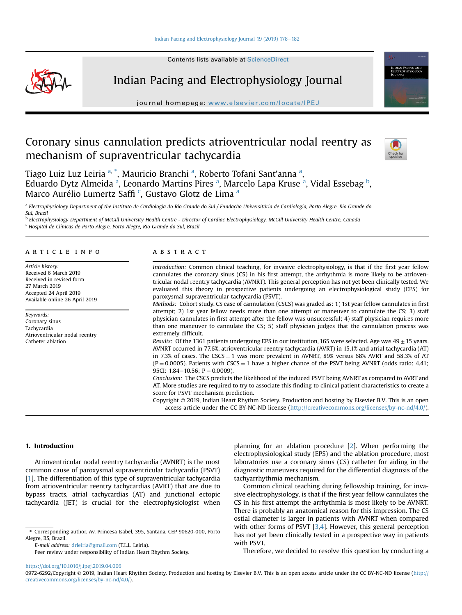Contents lists available at ScienceDirect



Indian Pacing and Electrophysiology Journal

journal homepage: <www.elsevier.com/locate/IPEJ>

# Coronary sinus cannulation predicts atrioventricular nodal reentry as mechanism of supraventricular tachycardia



Tiago Luiz Luz Leiria <sup>a, \*</sup>, Mauricio Branchi <sup>a</sup>, Roberto Tofani Sant'anna <sup>a</sup>, Eduardo Dytz Almeida <sup>a</sup>, Leonardo Martins Pires <sup>a</sup>, Marcelo Lapa Kruse <sup>a</sup>, Vidal Essebag <sup>b</sup>, Marco Aurélio Lumertz Saffi<sup>c</sup>, Gustavo Glotz de Lima <sup>a</sup>

<sup>a</sup> Electrophysiology Department of the Instituto de Cardiologia do Rio Grande do Sul / Fundação Universitária de Cardiologia, Porto Alegre, Rio Grande do Sul, Brazil

<sup>b</sup> Electrophysiology Department of McGill University Health Centre - Director of Cardiac Electrophysiology, McGill University Health Centre, Canada <sup>c</sup> Hospital de Clínicas de Porto Alegre, Porto Alegre, Rio Grande do Sul, Brazil

#### article info

Article history: Received 6 March 2019 Received in revised form 27 March 2019 Accepted 24 April 2019 Available online 26 April 2019

Keywords: Coronary sinus Tachycardia Atrioventricular nodal reentry Catheter ablation

# ABSTRACT

Introduction: Common clinical teaching, for invasive electrophysiology, is that if the first year fellow cannulates the coronary sinus (CS) in his first attempt, the arrhythmia is more likely to be atrioventricular nodal reentry tachycardia (AVNRT). This general perception has not yet been clinically tested. We evaluated this theory in prospective patients undergoing an electrophysiological study (EPS) for paroxysmal supraventricular tachycardia (PSVT).

Methods: Cohort study. CS ease of cannulation (CSCS) was graded as: 1) 1st year fellow cannulates in first attempt; 2) 1st year fellow needs more than one attempt or maneuver to cannulate the CS; 3) staff physician cannulates in first attempt after the fellow was unsuccessful; 4) staff physician requires more than one maneuver to cannulate the CS; 5) staff physician judges that the cannulation process was extremely difficult.

Results: Of the 1361 patients undergoing EPS in our institution, 165 were selected. Age was  $49 \pm 15$  years. AVNRT occurred in 77.6%, atrioventricular reentry tachycardia (AVRT) in 15.1% and atrial tachycardia (AT) in 7.3% of cases. The CSCS = 1 was more prevalent in AVNRT, 89% versus 68% AVRT and 58.3% of AT  $(P = 0.0005)$ . Patients with CSCS = 1 have a higher chance of the PSVT being AVNRT (odds ratio: 4.41; 95CI:  $1.84-10.56$ :  $P = 0.0009$ ).

Conclusion: The CSCS predicts the likelihood of the induced PSVT being AVNRT as compared to AVRT and AT. More studies are required to try to associate this finding to clinical patient characteristics to create a score for PSVT mechanism prediction.

Copyright © 2019, Indian Heart Rhythm Society. Production and hosting by Elsevier B.V. This is an open access article under the CC BY-NC-ND license [\(http://creativecommons.org/licenses/by-nc-nd/4.0/](http://creativecommons.org/licenses/by-nc-nd/4.0/)).

#### 1. Introduction

Atrioventricular nodal reentry tachycardia (AVNRT) is the most common cause of paroxysmal supraventricular tachycardia (PSVT) [[1](#page-3-0)]. The differentiation of this type of supraventricular tachycardia from atrioventricular reentry tachycardias (AVRT) that are due to bypass tracts, atrial tachycardias (AT) and junctional ectopic tachycardia (JET) is crucial for the electrophysiologist when

E-mail address: [drleiria@gmail.com](mailto:drleiria@gmail.com) (T.L.L. Leiria).

Peer review under responsibility of Indian Heart Rhythm Society.

planning for an ablation procedure [\[2\]](#page-3-0). When performing the electrophysiological study (EPS) and the ablation procedure, most laboratories use a coronary sinus (CS) catheter for aiding in the diagnostic maneuvers required for the differential diagnosis of the tachyarrhythmia mechanism.

Common clinical teaching during fellowship training, for invasive electrophysiology, is that if the first year fellow cannulates the CS in his first attempt the arrhythmia is most likely to be AVNRT. There is probably an anatomical reason for this impression. The CS ostial diameter is larger in patients with AVNRT when compared with other forms of PSVT [\[3,4](#page-3-0)]. However, this general perception has not yet been clinically tested in a prospective way in patients with PSVT.

Therefore, we decided to resolve this question by conducting a

<https://doi.org/10.1016/j.ipej.2019.04.006>

<sup>\*</sup> Corresponding author. Av. Princesa Isabel, 395, Santana, CEP 90620-000, Porto Alegre, RS, Brazil.

<sup>0972-6292/</sup>Copyright © 2019, Indian Heart Rhythm Society. Production and hosting by Elsevier B.V. This is an open access article under the CC BY-NC-ND license [\(http://](http://creativecommons.org/licenses/by-nc-nd/4.0/) [creativecommons.org/licenses/by-nc-nd/4.0/](http://creativecommons.org/licenses/by-nc-nd/4.0/)).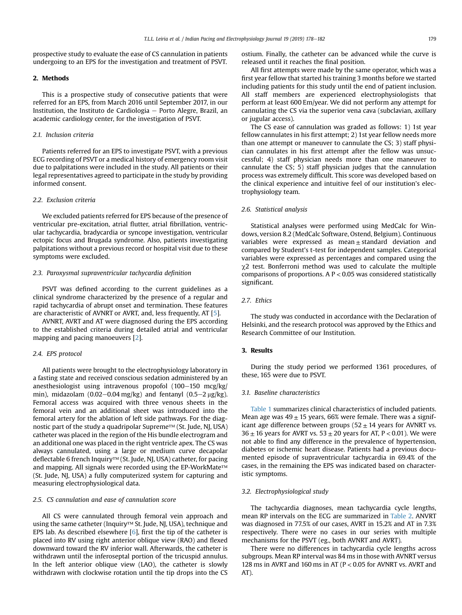prospective study to evaluate the ease of CS cannulation in patients undergoing to an EPS for the investigation and treatment of PSVT.

# 2. Methods

This is a prospective study of consecutive patients that were referred for an EPS, from March 2016 until September 2017, in our Institution, the Instituto de Cardiologia  $-$  Porto Alegre, Brazil, an academic cardiology center, for the investigation of PSVT.

### 2.1. Inclusion criteria

Patients referred for an EPS to investigate PSVT, with a previous ECG recording of PSVT or a medical history of emergency room visit due to palpitations were included in the study. All patients or their legal representatives agreed to participate in the study by providing informed consent.

## 2.2. Exclusion criteria

We excluded patients referred for EPS because of the presence of ventricular pre-excitation, atrial flutter, atrial fibrillation, ventricular tachycardia, bradycardia or syncope investigation, ventricular ectopic focus and Brugada syndrome. Also, patients investigating palpitations without a previous record or hospital visit due to these symptoms were excluded.

### 2.3. Paroxysmal supraventricular tachycardia definition

PSVT was defined according to the current guidelines as a clinical syndrome characterized by the presence of a regular and rapid tachycardia of abrupt onset and termination. These features are characteristic of AVNRT or AVRT, and, less frequently, AT [\[5\]](#page-3-0).

AVNRT, AVRT and AT were diagnosed during the EPS according to the established criteria during detailed atrial and ventricular mapping and pacing manoeuvers [\[2](#page-3-0)].

## 2.4. EPS protocol

All patients were brought to the electrophysiology laboratory in a fasting state and received conscious sedation administered by an anesthesiologist using intravenous propofol  $(100-150 \text{ mcg/kg})$ min), midazolam  $(0.02-0.04 \text{ mg/kg})$  and fentanyl  $(0.5-2 \text{ \mu g/kg})$ . Femoral access was acquired with three venous sheets in the femoral vein and an additional sheet was introduced into the femoral artery for the ablation of left side pathways. For the diagnostic part of the study a quadripolar Supreme™ (St. Jude, NJ, USA) catheter was placed in the region of the His bundle electrogram and an additional one was placed in the right ventricle apex. The CS was always cannulated, using a large or medium curve decapolar deflectable 6 french Inquiry™ (St. Jude, NJ, USA) catheter, for pacing and mapping. All signals were recorded using the EP-WorkMate™ (St. Jude, NJ, USA) a fully computerized system for capturing and measuring electrophysiological data.

#### 2.5. CS cannulation and ease of cannulation score

All CS were cannulated through femoral vein approach and using the same catheter (Inquiry™ St. Jude, NJ, USA), technique and EPS lab. As described elsewhere  $[6]$ , first the tip of the catheter is placed into RV using right anterior oblique view (RAO) and flexed downward toward the RV inferior wall. Afterwards, the catheter is withdrawn until the inferoseptal portion of the tricuspid annulus. In the left anterior oblique view (LAO), the catheter is slowly withdrawn with clockwise rotation until the tip drops into the CS

ostium. Finally, the catheter can be advanced while the curve is released until it reaches the final position.

All first attempts were made by the same operator, which was a first year fellow that started his training 3 months before we started including patients for this study until the end of patient inclusion. All staff members are experienced electrophysiologists that perform at least 600 Em/year. We did not perform any attempt for cannulating the CS via the superior vena cava (subclavian, axillary or jugular access).

The CS ease of cannulation was graded as follows: 1) 1st year fellow cannulates in his first attempt; 2) 1st year fellow needs more than one attempt or maneuver to cannulate the CS; 3) staff physician cannulates in his first attempt after the fellow was unsuccessful; 4) staff physician needs more than one maneuver to cannulate the CS; 5) staff physician judges that the cannulation process was extremely difficult. This score was developed based on the clinical experience and intuitive feel of our institution's electrophysiology team.

## 2.6. Statistical analysis

Statistical analyses were performed using MedCalc for Windows, version 8.2 (MedCalc Software, Ostend, Belgium). Continuous variables were expressed as mean  $\pm$  standard deviation and compared by Student's t-test for independent samples. Categorical variables were expressed as percentages and compared using the  $\chi$ 2 test. Bonferroni method was used to calculate the multiple comparisons of proportions. A  $P < 0.05$  was considered statistically significant.

# 2.7. Ethics

The study was conducted in accordance with the Declaration of Helsinki, and the research protocol was approved by the Ethics and Research Committee of our Institution.

#### 3. Results

During the study period we performed 1361 procedures, of these, 165 were due to PSVT.

#### 3.1. Baseline characteristics

[Table 1](#page-2-0) summarizes clinical characteristics of included patients. Mean age was  $49 \pm 15$  years, 66% were female. There was a significant age difference between groups  $(52 \pm 14)$  years for AVNRT vs.  $36 \pm 16$  years for AVRT vs.  $53 \pm 20$  years for AT, P < 0.01). We were not able to find any difference in the prevalence of hypertension, diabetes or ischemic heart disease. Patients had a previous documented episode of supraventricular tachycardia in 69.4% of the cases, in the remaining the EPS was indicated based on characteristic symptoms.

# 3.2. Electrophysiological study

The tachycardia diagnoses, mean tachycardia cycle lengths, mean RP intervals on the ECG are summarized in [Table 2](#page-2-0). ANVRT was diagnosed in 77.5% of our cases, AVRT in 15.2% and AT in 7.3% respectively. There were no cases in our series with multiple mechanisms for the PSVT (eg., both AVNRT and AVRT).

There were no differences in tachycardia cycle lengths across subgroups. Mean RP interval was 84 ms in those with AVNRT versus 128 ms in AVRT and 160 ms in AT (P < 0.05 for AVNRT vs. AVRT and AT).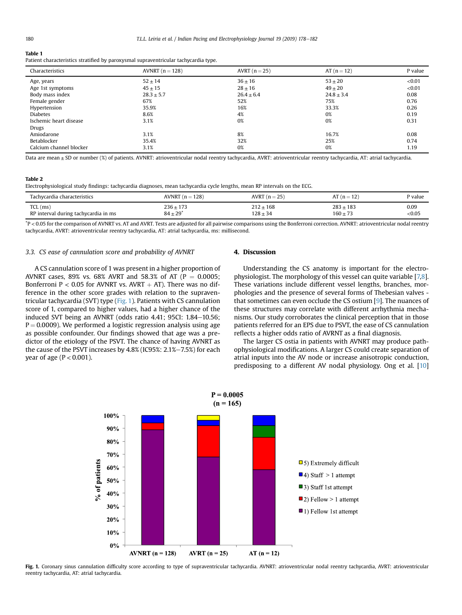#### <span id="page-2-0"></span>Table 1

Patient characteristics stratified by paroxysmal supraventricular tachycardia type.

| Characteristics         | AVNRT $(n = 128)$ | AVRT $(n=25)$  | AT $(n = 12)$  | P value |
|-------------------------|-------------------|----------------|----------------|---------|
| Age, years              | $52 \pm 14$       | $36 \pm 16$    | $53 \pm 20$    | < 0.01  |
| Age 1st symptoms        | $45 \pm 15$       | $28 \pm 16$    | $49 \pm 20$    | < 0.01  |
| Body mass index         | $28.3 \pm 5.7$    | $26.4 \pm 6.4$ | $24.8 \pm 3.4$ | 0.08    |
| Female gender           | 67%               | 52%            | 75%            | 0.76    |
| Hypertension            | 35.9%             | 16%            | 33.3%          | 0.26    |
| <b>Diabetes</b>         | 8.6%              | 4%             | 0%             | 0.19    |
| Ischemic heart disease  | 3.1%              | 0%             | 0%             | 0.31    |
| Drugs                   |                   |                |                |         |
| Amiodarone              | 3.1%              | 8%             | 16.7%          | 0.08    |
| Betablocker             | 35.4%             | 32%            | 25%            | 0.74    |
| Calcium channel blocker | 3.1%              | 0%             | 0%             | 1.19    |

Data are mean ± SD or number (%) of patients. AVNRT: atrioventricular nodal reentry tachycardia, AVRT: atrioventricular reentry tachycardia, AT: atrial tachycardia.

#### Table 2

Electrophysiological study findings: tachycardia diagnoses, mean tachycardia cycle lengths, mean RP intervals on the ECG.

| Tachycardia characteristics          | AVNRT $(n = 128)$        | AVRT $(n=25)$ | AT $(n = 12)$ | P value |
|--------------------------------------|--------------------------|---------------|---------------|---------|
| $TCL$ (ms)                           | $236 \pm 173$            | $212 \pm 168$ | $283 \pm 183$ | 0.09    |
| RP interval during tachycardia in ms | $84 \pm 29$ <sup>*</sup> | $128 \pm 34$  | $160 \pm 73$  | < 0.05  |

\* P < 0.05 for the comparison of AVNRT vs. AT and AVRT. Tests are adjusted for all pairwise comparisons using the Bonferroni correction. AVNRT: atrioventricular nodal reentry tachycardia, AVRT: atrioventricular reentry tachycardia, AT: atrial tachycardia, ms: millisecond.

# 3.3. CS ease of cannulation score and probability of AVNRT

A CS cannulation score of 1 was present in a higher proportion of AVNRT cases, 89% vs. 68% AVRT and 58.3% of AT ( $P = 0.0005$ ; Bonferroni P < 0.05 for AVNRT vs. AVRT  $+$  AT). There was no difference in the other score grades with relation to the supraventricular tachycardia (SVT) type (Fig. 1). Patients with CS cannulation score of 1, compared to higher values, had a higher chance of the induced SVT being an AVNRT (odds ratio 4.41; 95CI: 1.84-10.56;  $P = 0.0009$ ). We performed a logistic regression analysis using age as possible confounder. Our findings showed that age was a predictor of the etiology of the PSVT. The chance of having AVNRT as the cause of the PSVT increases by  $4.8\%$  (IC95%:  $2.1\% - 7.5\%$ ) for each year of age ( $P < 0.001$ ).

#### 4. Discussion

Understanding the CS anatomy is important for the electrophysiologist. The morphology of this vessel can quite variable [\[7,8](#page-3-0)]. These variations include different vessel lengths, branches, morphologies and the presence of several forms of Thebesian valves that sometimes can even occlude the CS ostium [\[9\]](#page-3-0). The nuances of these structures may correlate with different arrhythmia mechanisms. Our study corroborates the clinical perception that in those patients referred for an EPS due to PSVT, the ease of CS cannulation reflects a higher odds ratio of AVRNT as a final diagnosis.

The larger CS ostia in patients with AVNRT may produce pathophysiological modifications. A larger CS could create separation of atrial inputs into the AV node or increase anisotropic conduction, predisposing to a different AV nodal physiology. Ong et al. [[10\]](#page-3-0)



Fig. 1. Coronary sinus cannulation difficulty score according to type of supraventricular tachycardia. AVNRT: atrioventricular nodal reentry tachycardia, AVRT: atrioventricular reentry tachycardia, AT: atrial tachycardia.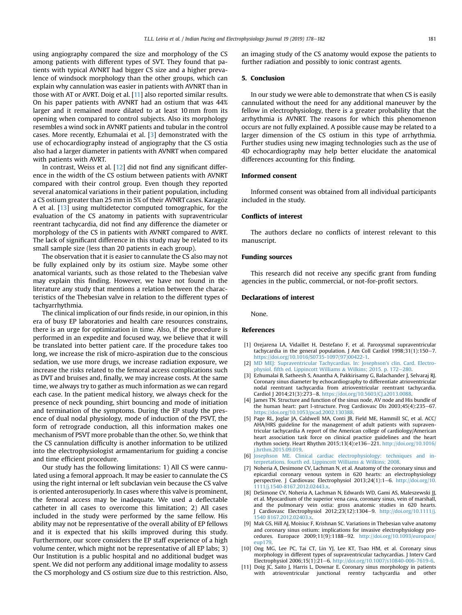<span id="page-3-0"></span>using angiography compared the size and morphology of the CS among patients with different types of SVT. They found that patients with typical AVNRT had bigger CS size and a higher prevalence of windsock morphology than the other groups, which can explain why cannulation was easier in patients with AVNRT than in those with AT or AVRT. Doig et al. [11] also reported similar results. On his paper patients with AVNRT had an ostium that was 44% larger and it remained more dilated to at least 10 mm from its opening when compared to control subjects. Also its morphology resembles a wind sock in AVNRT patients and tubular in the control cases. More recently, Ezhumalai et al. [3] demonstrated with the use of echocardiography instead of angiography that the CS ostia also had a larger diameter in patients with AVNRT when compared with patients with AVRT.

In contrast, Weiss et al.  $[12]$  did not find any significant difference in the width of the CS ostium between patients with AVNRT compared with their control group. Even though they reported several anatomical variations in their patient population, including a CS ostium greater than 25 mm in 5% of their AVNRT cases. Karagöz A et al. [\[13](#page-4-0)] using multidetector computed tomographic, for the evaluation of the CS anatomy in patients with supraventricular reentrant tachycardia, did not find any difference the diameter or morphology of the CS in patients with AVNRT compared to AVRT. The lack of significant difference in this study may be related to its small sample size (less than 20 patients in each group).

The observation that it is easier to cannulate the CS also may not be fully explained only by its ostium size. Maybe some other anatomical variants, such as those related to the Thebesian valve may explain this finding. However, we have not found in the literature any study that mentions a relation between the characteristics of the Thebesian valve in relation to the different types of tachyarrhythmia.

The clinical implication of our finds reside, in our opinion, in this era of busy EP laboratories and health care resources constrains, there is an urge for optimization in time. Also, if the procedure is performed in an expedite and focused way, we believe that it will be translated into better patient care. If the procedure takes too long, we increase the risk of micro-aspiration due to the conscious sedation, we use more drugs, we increase radiation exposure, we increase the risks related to the femoral access complications such as DVT and bruises and, finally, we may increase costs. At the same time, we always try to gather as much information as we can regard each case. In the patient medical history, we always check for the presence of neck pounding, shirt bouncing and mode of initiation and termination of the symptoms. During the EP study the presence of dual nodal physiology, mode of induction of the PSVT, the form of retrograde conduction, all this information makes one mechanism of PSVT more probable than the other. So, we think that the CS cannulation difficulty is another information to be utilized into the electrophysiologist armamentarium for guiding a concise and time efficient procedure.

Our study has the following limitations: 1) All CS were cannulated using a femoral approach. It may be easier to cannulate the CS using the right internal or left subclavian vein because the CS valve is oriented anterosuperiorly. In cases where this valve is prominent, the femoral access may be inadequate. We used a deflectable catheter in all cases to overcome this limitation; 2) All cases included in the study were performed by the same fellow. His ability may not be representative of the overall ability of EP fellows and it is expected that his skills improved during this study. Furthermore, our score considers the EP staff experience of a high volume center, which might not be representative of all EP labs; 3) Our Institution is a public hospital and no additional budget was spent. We did not perform any additional image modality to assess the CS morphology and CS ostium size due to this restriction. Also, an imaging study of the CS anatomy would expose the patients to further radiation and possibly to ionic contrast agents.

#### 5. Conclusion

In our study we were able to demonstrate that when CS is easily cannulated without the need for any additional maneuver by the fellow in electrophysiology, there is a greater probability that the arrhythmia is AVNRT. The reasons for which this phenomenon occurs are not fully explained. A possible cause may be related to a larger dimension of the CS ostium in this type of arrhythmia. Further studies using new imaging technologies such as the use of 4D echocardiography may help better elucidate the anatomical differences accounting for this finding.

### Informed consent

Informed consent was obtained from all individual participants included in the study.

## Conflicts of interest

The authors declare no conflicts of interest relevant to this manuscript.

#### Funding sources

This research did not receive any specific grant from funding agencies in the public, commercial, or not-for-profit sectors.

#### Declarations of interest

None.

# References

- [1] Orejarena LA, Vidaillet H, Destefano F, et al. Paroxysmal supraventricular tachycardia in the general population. J Am Coll Cardiol  $1998;31(1):150-7$ . [https://doi.org/10.1016/S0735-1097\(97\)00422-1](https://doi.org/10.1016/S0735-1097(97)00422-1).
- [2] [MD MEJ: Supraventricular Tachycardias. In: Josephson's clin. Card. Electro](http://refhub.elsevier.com/S0972-6292(19)30042-7/sref2)physiol. fi[fth ed. Lippincott Williams](http://refhub.elsevier.com/S0972-6292(19)30042-7/sref2) & [Wilkins; 2015. p. 172](http://refhub.elsevier.com/S0972-6292(19)30042-7/sref2)-[280.](http://refhub.elsevier.com/S0972-6292(19)30042-7/sref2)
- [3] Ezhumalai B, Satheesh S, Anantha A, Pakkirisamy G, Balachander J, Selvaraj RJ. Coronary sinus diameter by echocardiography to differentiate atrioventricular nodal reentrant tachycardia from atrioventricular reentrant tachycardia. Cardiol J 2014:21(3):273-8. <https://doi.org/10.5603/CJ.a2013.0088>
- [4] James TN. Structure and function of the sinus node, AV node and His bundle of the human heart: part I-structure. Prog Cardiovasc Dis 2003;45(4):235-67. <https://doi.org/10.1053/pcad.2002.130388>.
- [5] Page RL, Joglar JA, Caldwell MA, Conti JB, Field ME, Hammill SC, et al. ACC/ AHA/HRS guideline for the management of adult patients with supraventricular tachycardia A report of the American college of cardiology/American heart association task force on clinical practice guidelines and the heart rhythm society. Heart Rhythm 2015;13(4):e136-221. [http://doi.org/10.1016/](http://doi.org/10.1016/j.hrthm.2015.09.019) [j.hrthm.2015.09.019.](http://doi.org/10.1016/j.hrthm.2015.09.019)
- [6] [Josephson ME. Clinical cardiac electrophysiology: techniques and in](http://refhub.elsevier.com/S0972-6292(19)30042-7/sref6)[terpretations. fourth ed. Lippincott Williams](http://refhub.elsevier.com/S0972-6292(19)30042-7/sref6) & [Wilkins; 2008](http://refhub.elsevier.com/S0972-6292(19)30042-7/sref6).
- [7] Noheria A, Desimone CV, Lachman N, et al. Anatomy of the coronary sinus and epicardial coronary venous system in 620 hearts: an electrophysiology perspective. J Cardiovasc Electrophysiol 2013;24(1):1-6. [http://doi.org/10.](http://doi.org/10.1111/j.1540-8167.2012.02443.x) [1111/j.1540-8167.2012.02443.x.](http://doi.org/10.1111/j.1540-8167.2012.02443.x)
- [8] DeSimone CV, Noheria A, Lachman N, Edwards WD, Gami AS, Maleszewski JJ, et al. Myocardium of the superior vena cava, coronary sinus, vein of marshall, and the pulmonary vein ostia: gross anatomic studies in 620 hearts. J Cardiovasc Electrophysiol 2012;23(12):1304-9. [http://doi.org/10.1111/j.](http://doi.org/10.1111/j.1540%208167.2012.02403.x) [1540 8167.2012.02403.x](http://doi.org/10.1111/j.1540%208167.2012.02403.x)
- [9] Mak GS, Hill AJ, Moisiuc F, Krishnan SC. Variations in Thebesian valve anatomy and coronary sinus ostium: implications for invasive electrophysiology procedures. Europace 2009;11(9):1188-92. [http://doi.org/10.1093/europace/](http://doi.org/10.1093/europace/eup179) [eup179](http://doi.org/10.1093/europace/eup179).
- [10] Ong MG, Lee PC, Tai CT, Lin YJ, Lee KT, Tsao HM, et al. Coronary sinus morphology in different types of supraventricular tachycardias. J Interv Card Electrophysiol 2006;15(1):21-6. <http://doi.org/10.1007/s10840-006-7619-6>.
- [11] Doig JC, Saito J, Harris L, Downar E. Coronary sinus morphology in patients with atrioventricular junctional reentry tachycardia and other